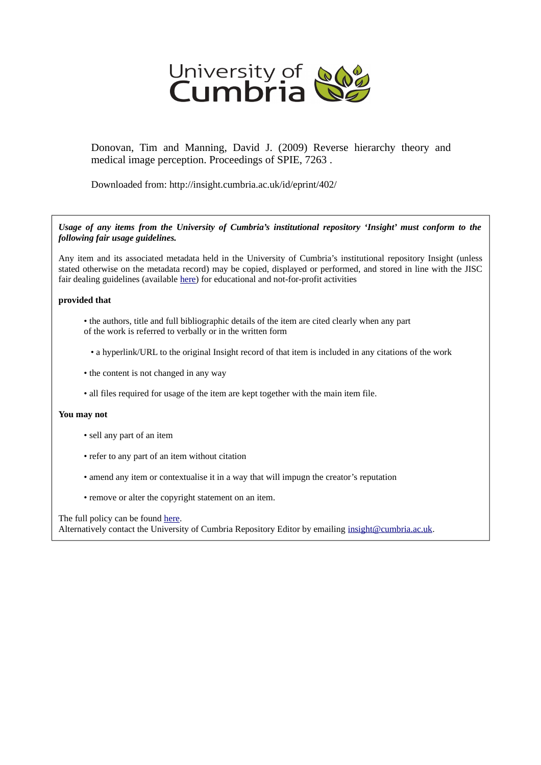

Donovan, Tim and Manning, David J. (2009) Reverse hierarchy theory and medical image perception. Proceedings of SPIE, 7263 .

Downloaded from: http://insight.cumbria.ac.uk/id/eprint/402/

*Usage of any items from the University of Cumbria's institutional repository 'Insight' must conform to the following fair usage guidelines.*

Any item and its associated metadata held in the University of Cumbria's institutional repository Insight (unless stated otherwise on the metadata record) may be copied, displayed or performed, and stored in line with the JISC fair dealing guidelines (available [here\)](http://www.ukoln.ac.uk/services/elib/papers/pa/fair/) for educational and not-for-profit activities

# **provided that**

- the authors, title and full bibliographic details of the item are cited clearly when any part of the work is referred to verbally or in the written form
	- a hyperlink/URL to the original Insight record of that item is included in any citations of the work
- the content is not changed in any way
- all files required for usage of the item are kept together with the main item file.

# **You may not**

- sell any part of an item
- refer to any part of an item without citation
- amend any item or contextualise it in a way that will impugn the creator's reputation
- remove or alter the copyright statement on an item.

The full policy can be found [here.](http://insight.cumbria.ac.uk/legal.html#section5)

Alternatively contact the University of Cumbria Repository Editor by emailing [insight@cumbria.ac.uk.](mailto:insight@cumbria.ac.uk)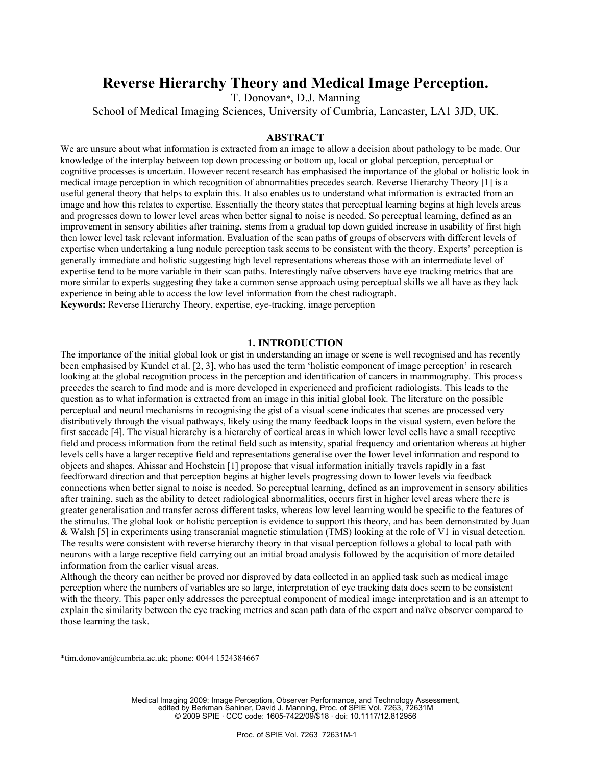# **Reverse Hierarchy Theory and Medical Image Perception.**

T. Donovan\*, D.J. Manning

School of Medical Imaging Sciences, University of Cumbria, Lancaster, LA1 3JD, UK.

# **ABSTRACT**

We are unsure about what information is extracted from an image to allow a decision about pathology to be made. Our knowledge of the interplay between top down processing or bottom up, local or global perception, perceptual or cognitive processes is uncertain. However recent research has emphasised the importance of the global or holistic look in medical image perception in which recognition of abnormalities precedes search. Reverse Hierarchy Theory [1] is a useful general theory that helps to explain this. It also enables us to understand what information is extracted from an image and how this relates to expertise. Essentially the theory states that perceptual learning begins at high levels areas and progresses down to lower level areas when better signal to noise is needed. So perceptual learning, defined as an improvement in sensory abilities after training, stems from a gradual top down guided increase in usability of first high then lower level task relevant information. Evaluation of the scan paths of groups of observers with different levels of expertise when undertaking a lung nodule perception task seems to be consistent with the theory. Experts' perception is generally immediate and holistic suggesting high level representations whereas those with an intermediate level of expertise tend to be more variable in their scan paths. Interestingly naïve observers have eye tracking metrics that are more similar to experts suggesting they take a common sense approach using perceptual skills we all have as they lack experience in being able to access the low level information from the chest radiograph. **Keywords:** Reverse Hierarchy Theory, expertise, eye-tracking, image perception

# **1. INTRODUCTION**

The importance of the initial global look or gist in understanding an image or scene is well recognised and has recently been emphasised by Kundel et al. [2, 3], who has used the term 'holistic component of image perception' in research looking at the global recognition process in the perception and identification of cancers in mammography. This process precedes the search to find mode and is more developed in experienced and proficient radiologists. This leads to the question as to what information is extracted from an image in this initial global look. The literature on the possible perceptual and neural mechanisms in recognising the gist of a visual scene indicates that scenes are processed very distributively through the visual pathways, likely using the many feedback loops in the visual system, even before the first saccade [4]. The visual hierarchy is a hierarchy of cortical areas in which lower level cells have a small receptive field and process information from the retinal field such as intensity, spatial frequency and orientation whereas at higher levels cells have a larger receptive field and representations generalise over the lower level information and respond to objects and shapes. Ahissar and Hochstein [1] propose that visual information initially travels rapidly in a fast feedforward direction and that perception begins at higher levels progressing down to lower levels via feedback connections when better signal to noise is needed. So perceptual learning, defined as an improvement in sensory abilities after training, such as the ability to detect radiological abnormalities, occurs first in higher level areas where there is greater generalisation and transfer across different tasks, whereas low level learning would be specific to the features of the stimulus. The global look or holistic perception is evidence to support this theory, and has been demonstrated by Juan & Walsh [5] in experiments using transcranial magnetic stimulation (TMS) looking at the role of V1 in visual detection. The results were consistent with reverse hierarchy theory in that visual perception follows a global to local path with neurons with a large receptive field carrying out an initial broad analysis followed by the acquisition of more detailed information from the earlier visual areas.

Although the theory can neither be proved nor disproved by data collected in an applied task such as medical image perception where the numbers of variables are so large, interpretation of eye tracking data does seem to be consistent with the theory. This paper only addresses the perceptual component of medical image interpretation and is an attempt to explain the similarity between the eye tracking metrics and scan path data of the expert and naïve observer compared to those learning the task.

\*tim.donovan@cumbria.ac.uk; phone: 0044 1524384667

Medical Imaging 2009: Image Perception, Observer Performance, and Technology Assessment, edited by Berkman Sahiner, David J. Manning, Proc. of SPIE Vol. 7263, 72631M © 2009 SPIE · CCC code: 1605-7422/09/\$18 · doi: 10.1117/12.812956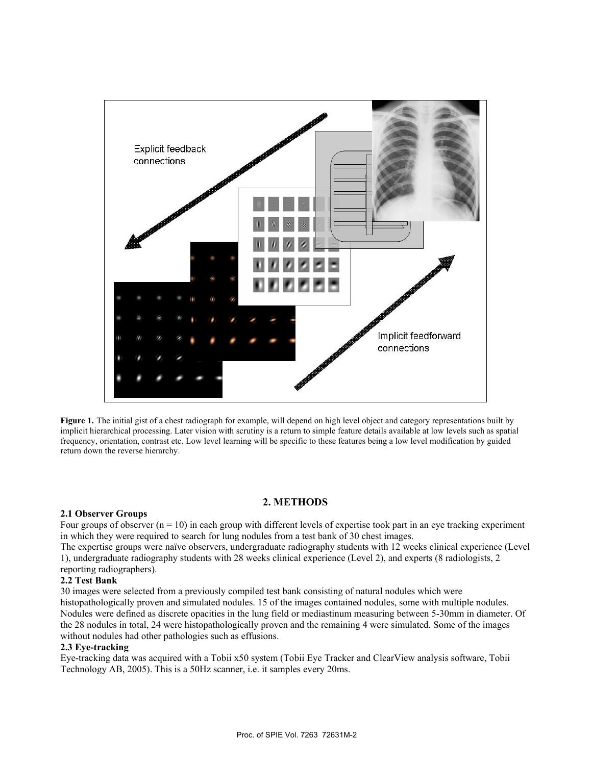

**Figure 1.** The initial gist of a chest radiograph for example, will depend on high level object and category representations built by implicit hierarchical processing. Later vision with scrutiny is a return to simple feature details available at low levels such as spatial frequency, orientation, contrast etc. Low level learning will be specific to these features being a low level modification by guided return down the reverse hierarchy.

# **2. METHODS**

#### **2.1 Observer Groups**

Four groups of observer  $(n = 10)$  in each group with different levels of expertise took part in an eye tracking experiment in which they were required to search for lung nodules from a test bank of 30 chest images.

The expertise groups were naïve observers, undergraduate radiography students with 12 weeks clinical experience (Level 1), undergraduate radiography students with 28 weeks clinical experience (Level 2), and experts (8 radiologists, 2 reporting radiographers).

### **2.2 Test Bank**

30 images were selected from a previously compiled test bank consisting of natural nodules which were histopathologically proven and simulated nodules. 15 of the images contained nodules, some with multiple nodules. Nodules were defined as discrete opacities in the lung field or mediastinum measuring between 5-30mm in diameter. Of the 28 nodules in total, 24 were histopathologically proven and the remaining 4 were simulated. Some of the images without nodules had other pathologies such as effusions.

#### **2.3 Eye-tracking**

Eye-tracking data was acquired with a Tobii x50 system (Tobii Eye Tracker and ClearView analysis software, Tobii Technology AB, 2005). This is a 50Hz scanner, i.e. it samples every 20ms.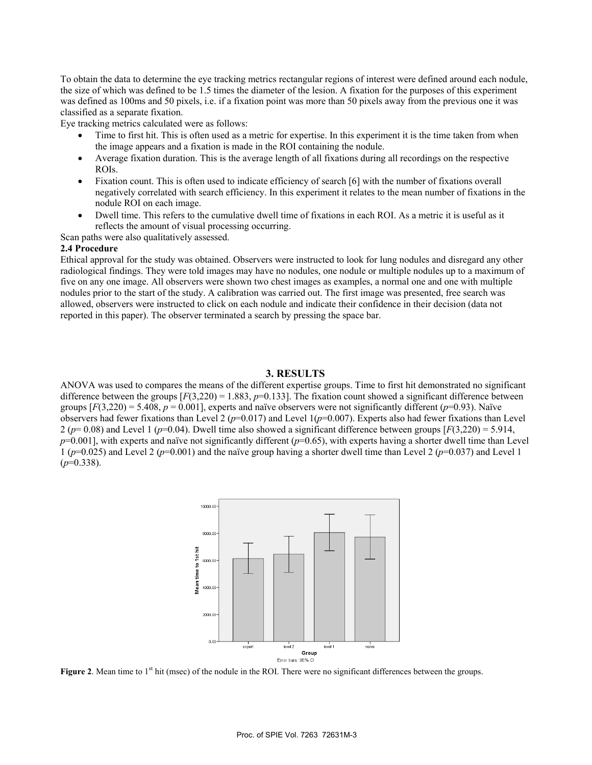To obtain the data to determine the eye tracking metrics rectangular regions of interest were defined around each nodule, the size of which was defined to be 1.5 times the diameter of the lesion. A fixation for the purposes of this experiment was defined as 100ms and 50 pixels, i.e. if a fixation point was more than 50 pixels away from the previous one it was classified as a separate fixation.

Eye tracking metrics calculated were as follows:

- Time to first hit. This is often used as a metric for expertise. In this experiment it is the time taken from when the image appears and a fixation is made in the ROI containing the nodule.
- Average fixation duration. This is the average length of all fixations during all recordings on the respective ROIs.
- Fixation count. This is often used to indicate efficiency of search [6] with the number of fixations overall negatively correlated with search efficiency. In this experiment it relates to the mean number of fixations in the nodule ROI on each image.
- Dwell time. This refers to the cumulative dwell time of fixations in each ROI. As a metric it is useful as it reflects the amount of visual processing occurring.

Scan paths were also qualitatively assessed.

#### **2.4 Procedure**

Ethical approval for the study was obtained. Observers were instructed to look for lung nodules and disregard any other radiological findings. They were told images may have no nodules, one nodule or multiple nodules up to a maximum of five on any one image. All observers were shown two chest images as examples, a normal one and one with multiple nodules prior to the start of the study. A calibration was carried out. The first image was presented, free search was allowed, observers were instructed to click on each nodule and indicate their confidence in their decision (data not reported in this paper). The observer terminated a search by pressing the space bar.

#### **3. RESULTS**

ANOVA was used to compares the means of the different expertise groups. Time to first hit demonstrated no significant difference between the groups  $[F(3,220) = 1.883, p=0.133]$ . The fixation count showed a significant difference between groups  $[F(3,220) = 5.408$ ,  $p = 0.001$ ], experts and naïve observers were not significantly different ( $p=0.93$ ). Naïve observers had fewer fixations than Level 2 ( $p=0.017$ ) and Level 1( $p=0.007$ ). Experts also had fewer fixations than Level  $2 (p=0.08)$  and Level 1 ( $p=0.04$ ). Dwell time also showed a significant difference between groups [ $F(3,220) = 5.914$ ,  $p=0.001$ ], with experts and naïve not significantly different ( $p=0.65$ ), with experts having a shorter dwell time than Level 1 (*p*=0.025) and Level 2 (*p*=0.001) and the naïve group having a shorter dwell time than Level 2 (*p*=0.037) and Level 1 (*p*=0.338).



**Figure 2**. Mean time to 1<sup>st</sup> hit (msec) of the nodule in the ROI. There were no significant differences between the groups.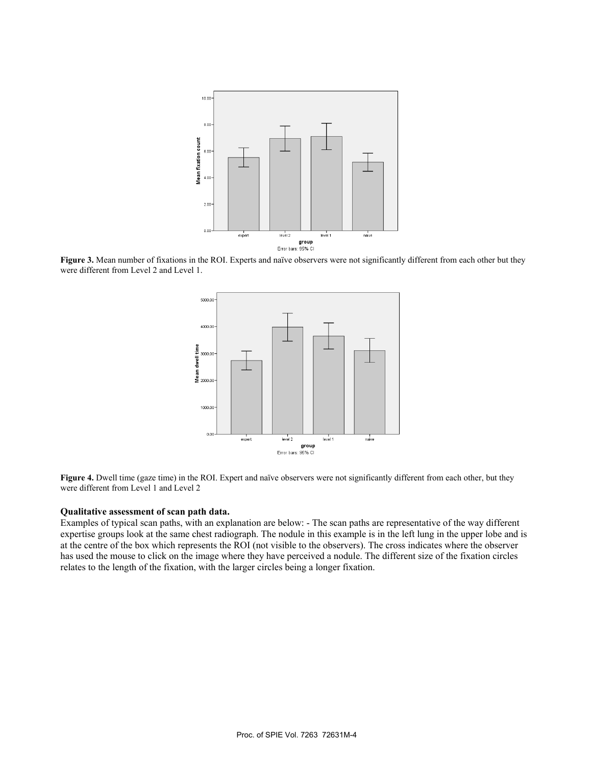

**Figure 3.** Mean number of fixations in the ROI. Experts and naïve observers were not significantly different from each other but they were different from Level 2 and Level 1.



**Figure 4.** Dwell time (gaze time) in the ROI. Expert and naïve observers were not significantly different from each other, but they were different from Level 1 and Level 2

#### **Qualitative assessment of scan path data.**

Examples of typical scan paths, with an explanation are below: - The scan paths are representative of the way different expertise groups look at the same chest radiograph. The nodule in this example is in the left lung in the upper lobe and is at the centre of the box which represents the ROI (not visible to the observers). The cross indicates where the observer has used the mouse to click on the image where they have perceived a nodule. The different size of the fixation circles relates to the length of the fixation, with the larger circles being a longer fixation.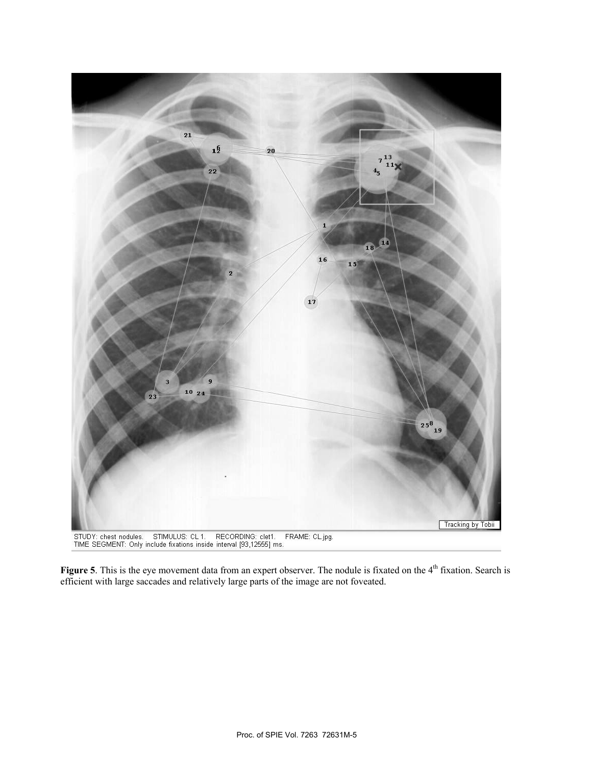

Figure 5. This is the eye movement data from an expert observer. The nodule is fixated on the 4<sup>th</sup> fixation. Search is efficient with large saccades and relatively large parts of the image are not foveated.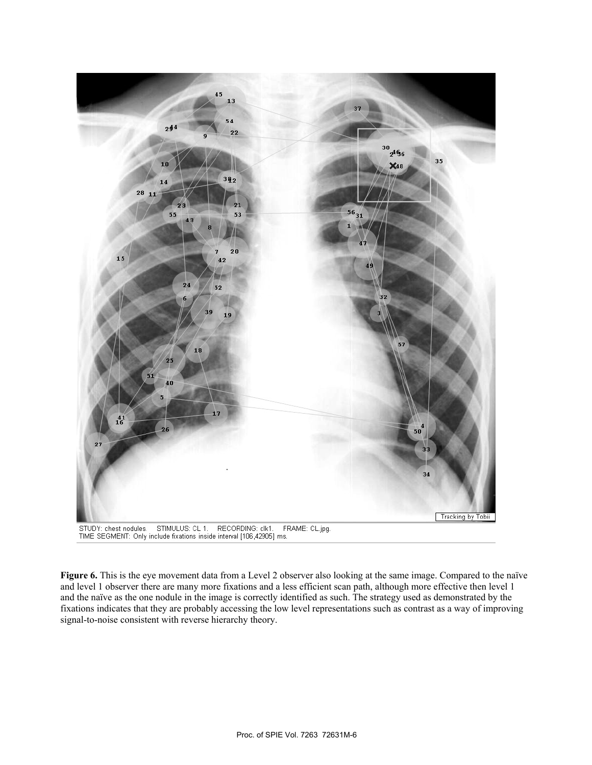

**Figure 6.** This is the eye movement data from a Level 2 observer also looking at the same image. Compared to the naïve and level 1 observer there are many more fixations and a less efficient scan path, although more effective then level 1 and the naïve as the one nodule in the image is correctly identified as such. The strategy used as demonstrated by the fixations indicates that they are probably accessing the low level representations such as contrast as a way of improving signal-to-noise consistent with reverse hierarchy theory.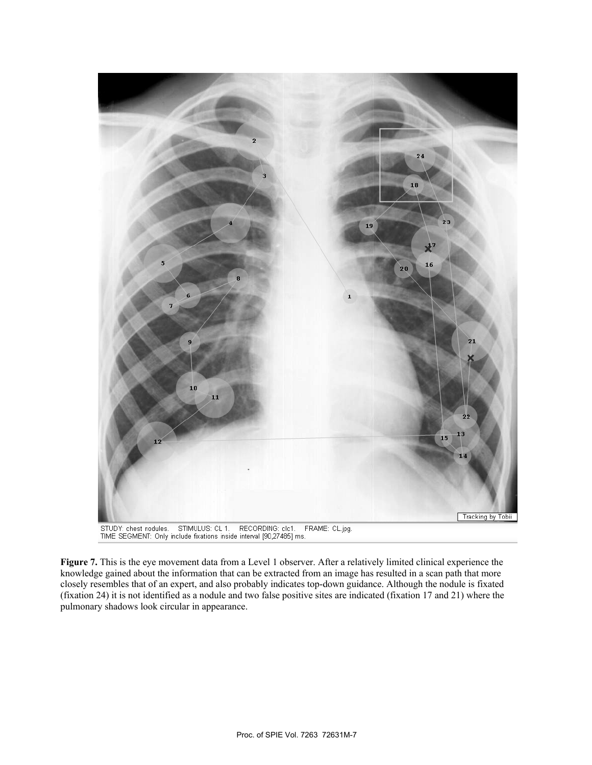

**Figure 7.** This is the eye movement data from a Level 1 observer. After a relatively limited clinical experience the knowledge gained about the information that can be extracted from an image has resulted in a scan path that more closely resembles that of an expert, and also probably indicates top-down guidance. Although the nodule is fixated (fixation 24) it is not identified as a nodule and two false positive sites are indicated (fixation 17 and 21) where the pulmonary shadows look circular in appearance.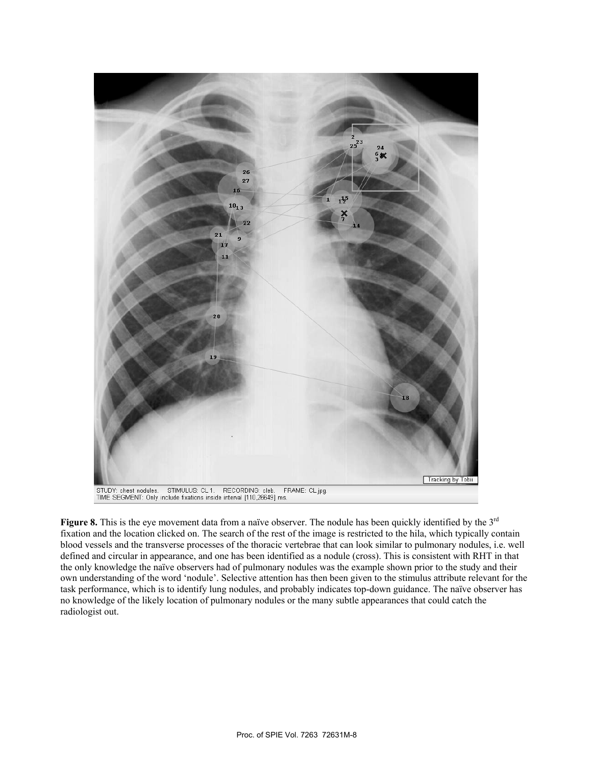

Figure 8. This is the eye movement data from a naïve observer. The nodule has been quickly identified by the 3<sup>rd</sup> fixation and the location clicked on. The search of the rest of the image is restricted to the hila, which typically contain blood vessels and the transverse processes of the thoracic vertebrae that can look similar to pulmonary nodules, i.e. well defined and circular in appearance, and one has been identified as a nodule (cross). This is consistent with RHT in that the only knowledge the naïve observers had of pulmonary nodules was the example shown prior to the study and their own understanding of the word 'nodule'. Selective attention has then been given to the stimulus attribute relevant for the task performance, which is to identify lung nodules, and probably indicates top-down guidance. The naïve observer has no knowledge of the likely location of pulmonary nodules or the many subtle appearances that could catch the radiologist out.